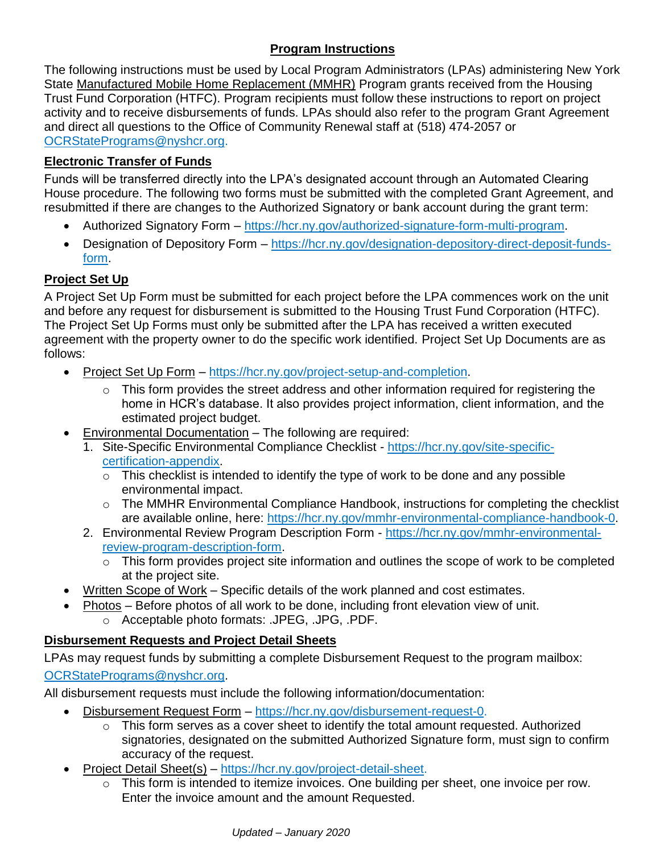# **Program Instructions**

The following instructions must be used by Local Program Administrators (LPAs) administering New York State Manufactured Mobile Home Replacement (MMHR) Program grants received from the Housing Trust Fund Corporation (HTFC). Program recipients must follow these instructions to report on project activity and to receive disbursements of funds. LPAs should also refer to the program Grant Agreement and direct all questions to the Office of Community Renewal staff at (518) 474-2057 or [OCRStatePrograms@nyshcr.org.](mailto:OCRStatePrograms@nyshcr.org)

## **Electronic Transfer of Funds**

Funds will be transferred directly into the LPA's designated account through an Automated Clearing House procedure. The following two forms must be submitted with the completed Grant Agreement, and resubmitted if there are changes to the Authorized Signatory or bank account during the grant term:

- Authorized Signatory Form [https://hcr.ny.gov/authorized-signature-form-multi-program.](https://hcr.ny.gov/authorized-signature-form-multi-program)
- Designation of Depository Form [https://hcr.ny.gov/designation-depository-direct-deposit-funds](https://hcr.ny.gov/designation-depository-direct-deposit-funds-form)[form.](https://hcr.ny.gov/designation-depository-direct-deposit-funds-form)

# **Project Set Up**

A Project Set Up Form must be submitted for each project before the LPA commences work on the unit and before any request for disbursement is submitted to the Housing Trust Fund Corporation (HTFC). The Project Set Up Forms must only be submitted after the LPA has received a written executed agreement with the property owner to do the specific work identified. Project Set Up Documents are as follows:

- Project Set Up Form [https://hcr.ny.gov/project-setup-and-completion.](https://hcr.ny.gov/project-setup-and-completion)
	- o This form provides the street address and other information required for registering the home in HCR's database. It also provides project information, client information, and the estimated project budget.
- Environmental Documentation The following are required:
	- 1. Site-Specific Environmental Compliance Checklist [https://hcr.ny.gov/site-specific](https://hcr.ny.gov/site-specific-certification-appendix)[certification-appendix.](https://hcr.ny.gov/site-specific-certification-appendix)
		- $\circ$  This checklist is intended to identify the type of work to be done and any possible environmental impact.
		- o The MMHR Environmental Compliance Handbook, instructions for completing the checklist are available online, here: [https://hcr.ny.gov/mmhr-environmental-compliance-handbook-0.](https://hcr.ny.gov/mmhr-environmental-compliance-handbook-0)
	- 2. Environmental Review Program Description Form [https://hcr.ny.gov/mmhr-environmental](https://hcr.ny.gov/mmhr-environmental-review-program-description-form)[review-program-description-form.](https://hcr.ny.gov/mmhr-environmental-review-program-description-form)
		- o This form provides project site information and outlines the scope of work to be completed at the project site.
- Written Scope of Work Specific details of the work planned and cost estimates.
- Photos Before photos of all work to be done, including front elevation view of unit.
	- o Acceptable photo formats: .JPEG, .JPG, .PDF.

## **Disbursement Requests and Project Detail Sheets**

LPAs may request funds by submitting a complete Disbursement Request to the program mailbox: [OCRStatePrograms@nyshcr.org.](mailto:OCRStatePrograms@nyshcr.org)

All disbursement requests must include the following information/documentation:

- Disbursement Request Form [https://hcr.ny.gov/disbursement-request-0.](https://hcr.ny.gov/disbursement-request-0)
	- o This form serves as a cover sheet to identify the total amount requested. Authorized signatories, designated on the submitted Authorized Signature form, must sign to confirm accuracy of the request.
- Project Detail Sheet(s) [https://hcr.ny.gov/project-detail-sheet.](https://hcr.ny.gov/project-detail-sheet)
	- o This form is intended to itemize invoices. One building per sheet, one invoice per row. Enter the invoice amount and the amount Requested.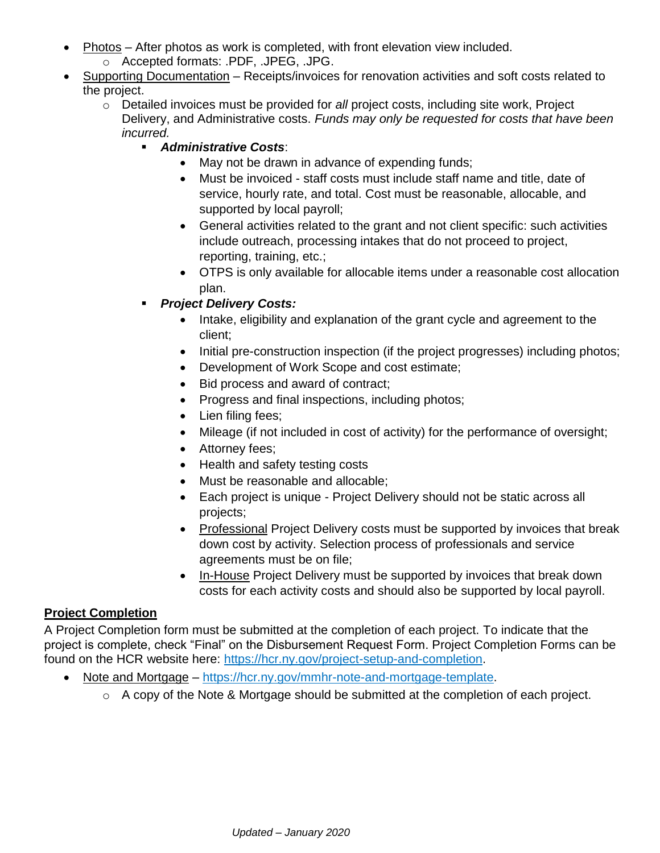- Photos After photos as work is completed, with front elevation view included.
	- o Accepted formats: .PDF, .JPEG, .JPG.
- Supporting Documentation Receipts/invoices for renovation activities and soft costs related to the project.
	- o Detailed invoices must be provided for *all* project costs, including site work, Project Delivery, and Administrative costs. *Funds may only be requested for costs that have been incurred.*
		- *Administrative Costs*:
			- May not be drawn in advance of expending funds;
			- Must be invoiced staff costs must include staff name and title, date of service, hourly rate, and total. Cost must be reasonable, allocable, and supported by local payroll;
			- General activities related to the grant and not client specific: such activities include outreach, processing intakes that do not proceed to project, reporting, training, etc.;
			- OTPS is only available for allocable items under a reasonable cost allocation plan.
		- *Project Delivery Costs:*
			- Intake, eligibility and explanation of the grant cycle and agreement to the client;
			- Initial pre-construction inspection (if the project progresses) including photos;
			- Development of Work Scope and cost estimate;
			- Bid process and award of contract;
			- Progress and final inspections, including photos;
			- Lien filing fees;
			- Mileage (if not included in cost of activity) for the performance of oversight;
			- Attorney fees;
			- Health and safety testing costs
			- Must be reasonable and allocable;
			- Each project is unique Project Delivery should not be static across all projects;
			- Professional Project Delivery costs must be supported by invoices that break down cost by activity. Selection process of professionals and service agreements must be on file;
			- In-House Project Delivery must be supported by invoices that break down costs for each activity costs and should also be supported by local payroll.

### **Project Completion**

A Project Completion form must be submitted at the completion of each project. To indicate that the project is complete, check "Final" on the Disbursement Request Form. Project Completion Forms can be found on the HCR website here: [https://hcr.ny.gov/project-setup-and-completion.](https://hcr.ny.gov/project-setup-and-completion)

- Note and Mortgage [https://hcr.ny.gov/mmhr-note-and-mortgage-template.](https://hcr.ny.gov/mmhr-note-and-mortgage-template)
	- o A copy of the Note & Mortgage should be submitted at the completion of each project.